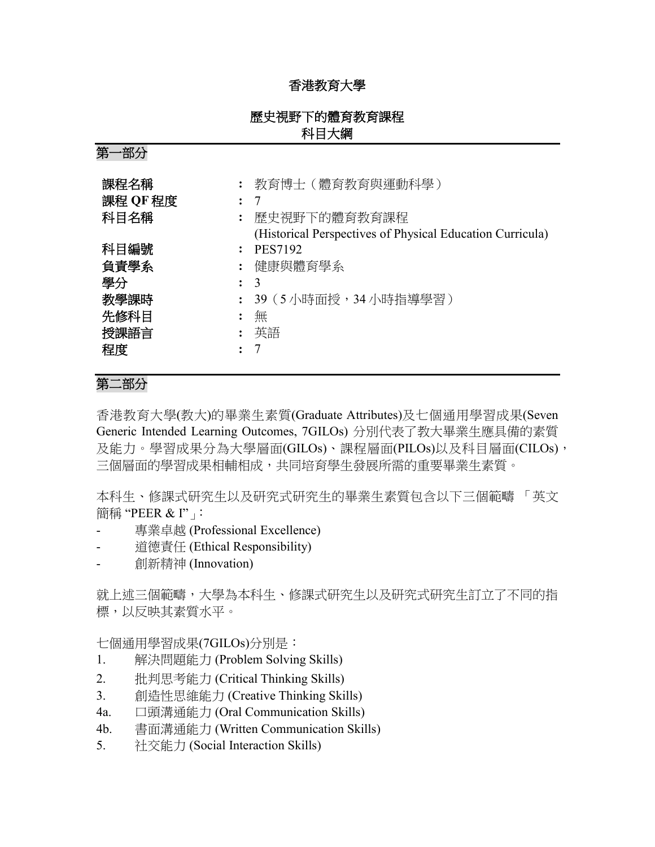## 香港教育大學

## 歷史視野下的體育教育課程 科目大綱

第一部分

| 課程名稱<br>課程 QF 程度<br>科目名稱                         | $\ddot{\phantom{a}}$ | : 教育博士(體育教育與運動科學)<br>-7<br>歷史視野下的體育教育課程<br>(Historical Perspectives of Physical Education Curricula) |
|--------------------------------------------------|----------------------|------------------------------------------------------------------------------------------------------|
| 科目編號<br>負責學系<br>學分<br>教學課時<br>先修科目<br>授課語言<br>程度 | ٠                    | <b>PES7192</b><br>健康與體育學系<br>3<br>- 39(5 小時面授,34 小時指導學習)<br>無<br>: 英語                                |

# 第二部分

香港教育大學(教大)的畢業生素質(Graduate Attributes)及七個通用學習成果(Seven Generic Intended Learning Outcomes, 7GILOs) 分別代表了教大畢業生應具備的素質 及能力。學習成果分為大學層面(GILOs)、課程層面(PILOs)以及科目層面(CILOs), 三個層面的學習成果相輔相成,共同培育學生發展所需的重要畢業生素質。

本科生、修課式研究生以及研究式研究生的畢業生素質包含以下三個範疇 「英文 簡稱 "PEER & I"」:

- 專業卓越 (Professional Excellence)
- 道德責任 (Ethical Responsibility)
- 創新精神 (Innovation)

就上述三個範疇,大學為本科生、修課式研究生以及研究式研究生訂立了不同的指 標,以反映其素質水平。

七個通用學習成果(7GILOs)分別是:

- 1. 解決問題能力 (Problem Solving Skills)
- 2. 批判思考能力 (Critical Thinking Skills)
- 3. 創造性思維能力 (Creative Thinking Skills)
- 4a. 口頭溝通能力 (Oral Communication Skills)
- 4b. 書面溝通能力 (Written Communication Skills)
- 5. 社交能力 (Social Interaction Skills)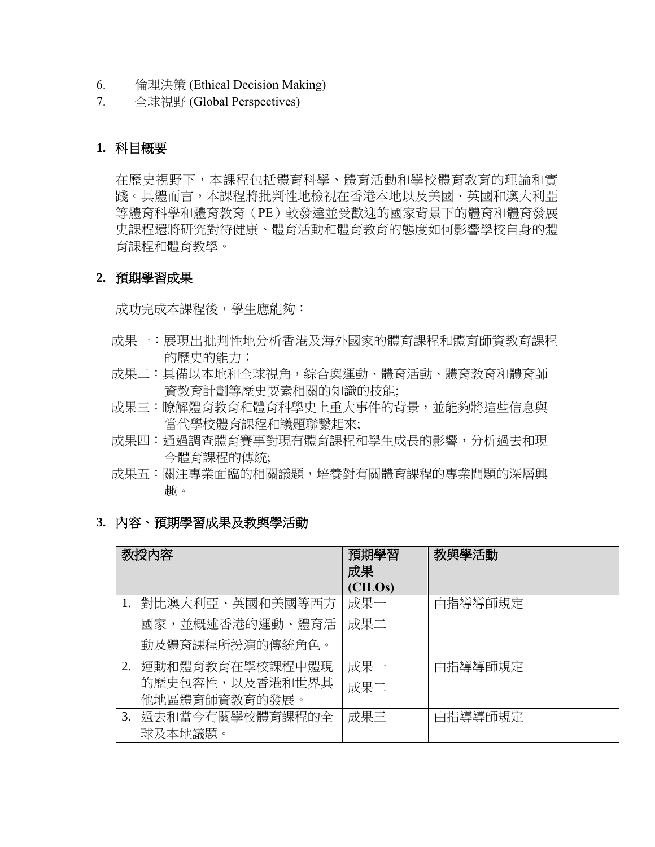- 6. 倫理決策 (Ethical Decision Making)
- 7. 全球視野 (Global Perspectives)

## **1.** 科目概要

在歷史視野下,本課程包括體育科學、體育活動和學校體育教育的理論和實 踐。具體而言,本課程將批判性地檢視在香港本地以及美國、英國和澳大利亞 等體育科學和體育教育(PE)較發達並受歡迎的國家背景下的體育和體育發展 史課程還將研究對待健康、體育活動和體育教育的態度如何影響學校自身的體 育課程和體育教學。

#### **2.** 預期學習成果

成功完成本課程後,學生應能夠:

- 成果一:展現出批判性地分析香港及海外國家的體育課程和體育師資教育課程 的歷史的能力;
- 成果二:具備以本地和全球視角,綜合與運動、體育活動、體育教育和體育師 資教育計劃等歷史要素相關的知識的技能;
- 成果三:瞭解體育教育和體育科學史上重大事件的背景,並能夠將這些信息與 當代學校體育課程和議題聯繫起來;
- 成果四:通過調查體育賽事對現有體育課程和學生成長的影響,分析過去和現 今體育課程的傳統;
- 成果五:關注專業面臨的相關議題,培養對有關體育課程的專業問題的深層興 趣。
- **3.** 內容、預期學習成果及教與學活動

|    | 教授内容            | 預期學習<br>成果<br>(CILOs) | 教與學活動   |
|----|-----------------|-----------------------|---------|
| 1. | 對比澳大利亞、英國和美國等西方 | 成果一                   | 由指導導師規定 |
|    | 國家,並概述香港的運動、體育活 | 成果二                   |         |
|    | 動及體育課程所扮演的傳統角色。 |                       |         |
| 2. | 運動和體育教育在學校課程中體現 | 成果一                   | 由指導導師規定 |
|    | 的歷史包容性,以及香港和世界其 | 成果二                   |         |
|    | 他地區體育師資教育的發展。   |                       |         |
| 3. | 過去和當今有關學校體育課程的全 | 成果三                   | 由指導導師規定 |
|    | 球及本地議題。         |                       |         |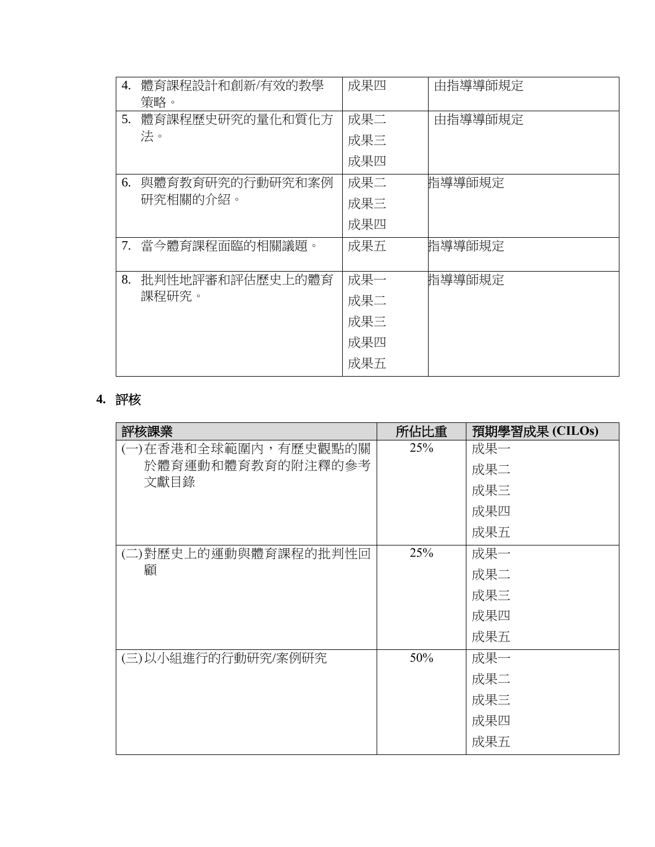| 4. | 體育課程設計和創新/有效的教學<br>策略。 | 成果四 | 由指導導師規定 |
|----|------------------------|-----|---------|
| 5. | 體育課程歷史研究的量化和質化方        | 成果二 | 由指導導師規定 |
|    | 法。                     | 成果三 |         |
|    |                        | 成果四 |         |
| 6. | 與體育教育研究的行動研究和案例        | 成果二 | 指導導師規定  |
|    | 研究相關的介紹。               | 成果三 |         |
|    |                        | 成果四 |         |
|    | 7. 當今體育課程面臨的相關議題。      | 成果五 | 指導導師規定  |
| 8. | 批判性地評審和評估歷史上的體育        | 成果一 | 指導導師規定  |
|    | 課程研究。                  | 成果二 |         |
|    |                        | 成果三 |         |
|    |                        | 成果四 |         |
|    |                        | 成果五 |         |

# **4.** 評核

| 評核課業                 | 所佔比重 | 預期學習成果 (CILOs) |
|----------------------|------|----------------|
| (一)在香港和全球範圍內,有歷史觀點的關 | 25%  | 成果一            |
| 於體育運動和體育教育的附注釋的參考    |      | 成果二            |
| 文獻目錄                 |      | 成果三            |
|                      |      | 成果四            |
|                      |      | 成果五            |
| (二)對歷史上的運動與體育課程的批判性回 | 25%  | 成果一            |
| 顧                    |      | 成果二            |
|                      |      | 成果三            |
|                      |      | 成果四            |
|                      |      | 成果五            |
| (三)以小組進行的行動研究/案例研究   | 50%  | 成果一            |
|                      |      | 成果二            |
|                      |      | 成果三            |
|                      |      | 成果四            |
|                      |      | 成果五            |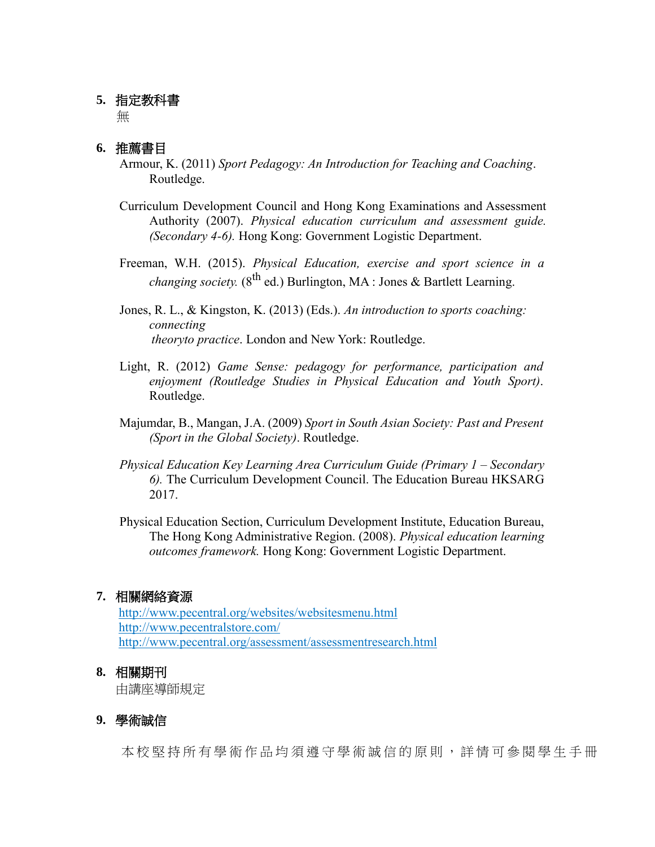### **5.** 指定教科書

無

## **6.** 推薦書目

- Armour, K. (2011) *Sport Pedagogy: An Introduction for Teaching and Coaching*. Routledge.
- Curriculum Development Council and Hong Kong Examinations and Assessment Authority (2007). *Physical education curriculum and assessment guide. (Secondary 4-6).* Hong Kong: Government Logistic Department.
- Freeman, W.H. (2015). *Physical Education, exercise and sport science in a changing society.* ( $8^{th}$  ed.) Burlington, MA : Jones & Bartlett Learning.

Jones, R. L., & Kingston, K. (2013) (Eds.). *An introduction to sports coaching: connecting theoryto practice*. London and New York: Routledge.

- Light, R. (2012) *Game Sense: pedagogy for performance, participation and enjoyment (Routledge Studies in Physical Education and Youth Sport)*. Routledge.
- Majumdar, B., Mangan, J.A. (2009) *Sport in South Asian Society: Past and Present (Sport in the Global Society)*. Routledge.
- *Physical Education Key Learning Area Curriculum Guide (Primary 1 – Secondary 6).* The Curriculum Development Council. The Education Bureau HKSARG 2017.
- Physical Education Section, Curriculum Development Institute, Education Bureau, The Hong Kong Administrative Region. (2008). *Physical education learning outcomes framework.* Hong Kong: Government Logistic Department.

#### **7.** 相關網絡資源

 <http://www.pecentral.org/websites/websitesmenu.html> <http://www.pecentralstore.com/> http://www.pecentral.org/assessment/assessmentresearch.html

#### **8.** 相關期刊

由講座導師規定

#### **9.** 學術誠信

本校堅持所有學術作品均須遵守學術誠信的原則,詳情可參閱學生手冊